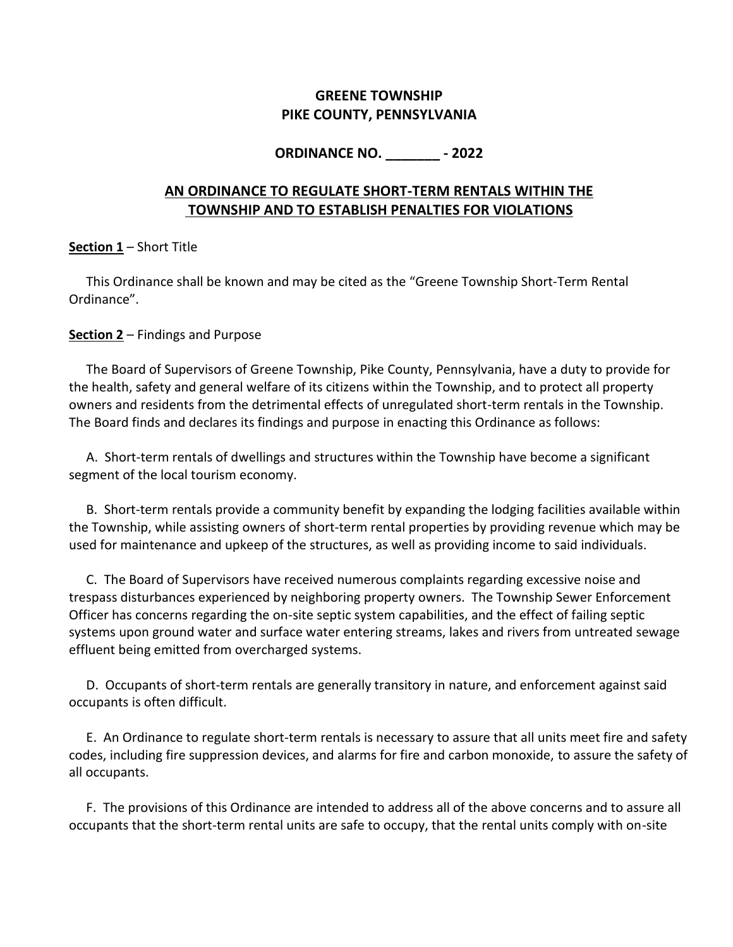# **GREENE TOWNSHIP PIKE COUNTY, PENNSYLVANIA**

# **ORDINANCE NO. \_\_\_\_\_\_\_ - 2022**

# **AN ORDINANCE TO REGULATE SHORT-TERM RENTALS WITHIN THE TOWNSHIP AND TO ESTABLISH PENALTIES FOR VIOLATIONS**

### **Section 1** – Short Title

This Ordinance shall be known and may be cited as the "Greene Township Short-Term Rental Ordinance".

### **Section 2** – Findings and Purpose

The Board of Supervisors of Greene Township, Pike County, Pennsylvania, have a duty to provide for the health, safety and general welfare of its citizens within the Township, and to protect all property owners and residents from the detrimental effects of unregulated short-term rentals in the Township. The Board finds and declares its findings and purpose in enacting this Ordinance as follows:

A. Short-term rentals of dwellings and structures within the Township have become a significant segment of the local tourism economy.

B. Short-term rentals provide a community benefit by expanding the lodging facilities available within the Township, while assisting owners of short-term rental properties by providing revenue which may be used for maintenance and upkeep of the structures, as well as providing income to said individuals.

C. The Board of Supervisors have received numerous complaints regarding excessive noise and trespass disturbances experienced by neighboring property owners. The Township Sewer Enforcement Officer has concerns regarding the on-site septic system capabilities, and the effect of failing septic systems upon ground water and surface water entering streams, lakes and rivers from untreated sewage effluent being emitted from overcharged systems.

D. Occupants of short-term rentals are generally transitory in nature, and enforcement against said occupants is often difficult.

E. An Ordinance to regulate short-term rentals is necessary to assure that all units meet fire and safety codes, including fire suppression devices, and alarms for fire and carbon monoxide, to assure the safety of all occupants.

F. The provisions of this Ordinance are intended to address all of the above concerns and to assure all occupants that the short-term rental units are safe to occupy, that the rental units comply with on-site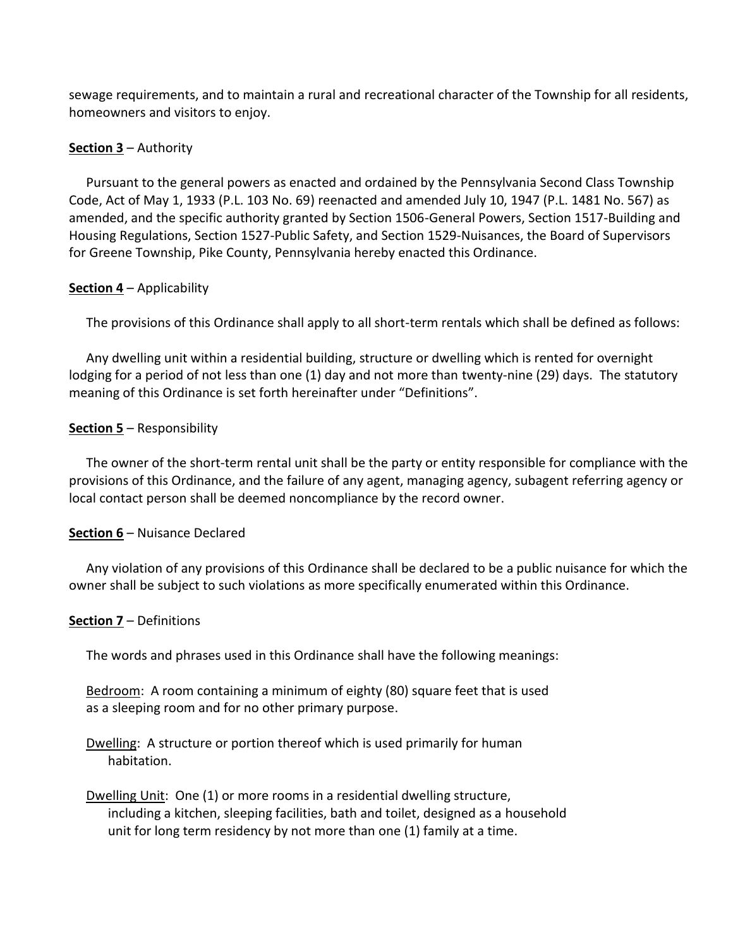sewage requirements, and to maintain a rural and recreational character of the Township for all residents, homeowners and visitors to enjoy.

#### **Section 3** – Authority

Pursuant to the general powers as enacted and ordained by the Pennsylvania Second Class Township Code, Act of May 1, 1933 (P.L. 103 No. 69) reenacted and amended July 10, 1947 (P.L. 1481 No. 567) as amended, and the specific authority granted by Section 1506-General Powers, Section 1517-Building and Housing Regulations, Section 1527-Public Safety, and Section 1529-Nuisances, the Board of Supervisors for Greene Township, Pike County, Pennsylvania hereby enacted this Ordinance.

#### **Section 4** – Applicability

The provisions of this Ordinance shall apply to all short-term rentals which shall be defined as follows:

Any dwelling unit within a residential building, structure or dwelling which is rented for overnight lodging for a period of not less than one (1) day and not more than twenty-nine (29) days. The statutory meaning of this Ordinance is set forth hereinafter under "Definitions".

#### **Section 5** – Responsibility

The owner of the short-term rental unit shall be the party or entity responsible for compliance with the provisions of this Ordinance, and the failure of any agent, managing agency, subagent referring agency or local contact person shall be deemed noncompliance by the record owner.

#### **Section 6** – Nuisance Declared

Any violation of any provisions of this Ordinance shall be declared to be a public nuisance for which the owner shall be subject to such violations as more specifically enumerated within this Ordinance.

#### **Section 7** – Definitions

The words and phrases used in this Ordinance shall have the following meanings:

Bedroom: A room containing a minimum of eighty (80) square feet that is used as a sleeping room and for no other primary purpose.

Dwelling: A structure or portion thereof which is used primarily for human habitation.

Dwelling Unit: One (1) or more rooms in a residential dwelling structure, including a kitchen, sleeping facilities, bath and toilet, designed as a household unit for long term residency by not more than one (1) family at a time.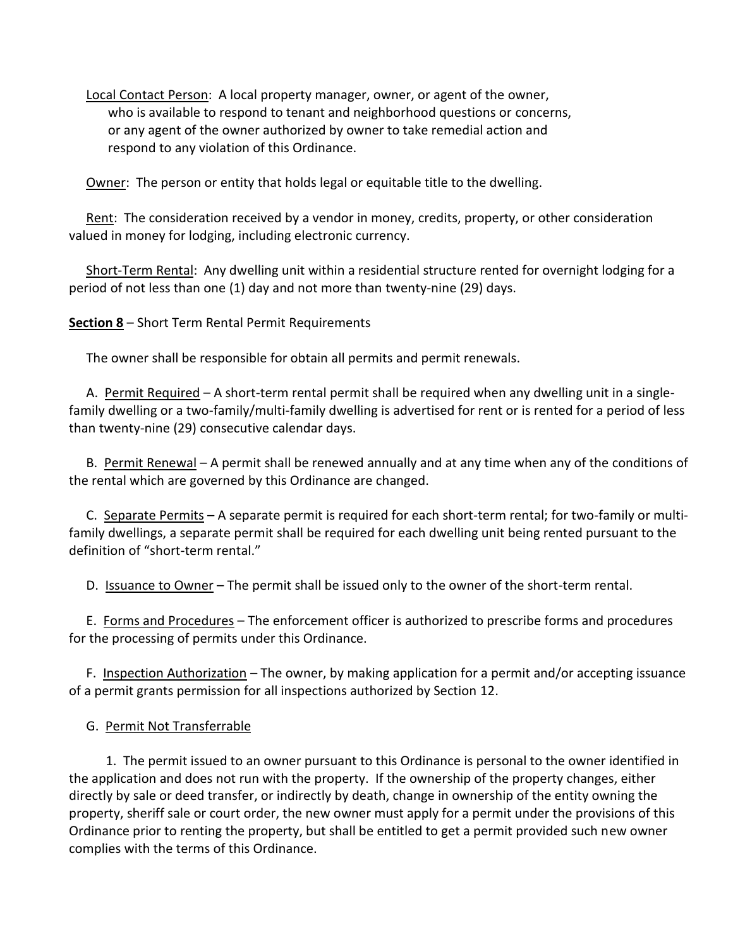Local Contact Person: A local property manager, owner, or agent of the owner, who is available to respond to tenant and neighborhood questions or concerns, or any agent of the owner authorized by owner to take remedial action and respond to any violation of this Ordinance.

Owner: The person or entity that holds legal or equitable title to the dwelling.

Rent: The consideration received by a vendor in money, credits, property, or other consideration valued in money for lodging, including electronic currency.

Short-Term Rental: Any dwelling unit within a residential structure rented for overnight lodging for a period of not less than one (1) day and not more than twenty-nine (29) days.

**Section 8** – Short Term Rental Permit Requirements

The owner shall be responsible for obtain all permits and permit renewals.

A. Permit Required – A short-term rental permit shall be required when any dwelling unit in a singlefamily dwelling or a two-family/multi-family dwelling is advertised for rent or is rented for a period of less than twenty-nine (29) consecutive calendar days.

B. Permit Renewal – A permit shall be renewed annually and at any time when any of the conditions of the rental which are governed by this Ordinance are changed.

C. Separate Permits – A separate permit is required for each short-term rental; for two-family or multifamily dwellings, a separate permit shall be required for each dwelling unit being rented pursuant to the definition of "short-term rental."

D. Issuance to Owner - The permit shall be issued only to the owner of the short-term rental.

E. Forms and Procedures – The enforcement officer is authorized to prescribe forms and procedures for the processing of permits under this Ordinance.

F. Inspection Authorization – The owner, by making application for a permit and/or accepting issuance of a permit grants permission for all inspections authorized by Section 12.

G. Permit Not Transferrable

 1. The permit issued to an owner pursuant to this Ordinance is personal to the owner identified in the application and does not run with the property. If the ownership of the property changes, either directly by sale or deed transfer, or indirectly by death, change in ownership of the entity owning the property, sheriff sale or court order, the new owner must apply for a permit under the provisions of this Ordinance prior to renting the property, but shall be entitled to get a permit provided such new owner complies with the terms of this Ordinance.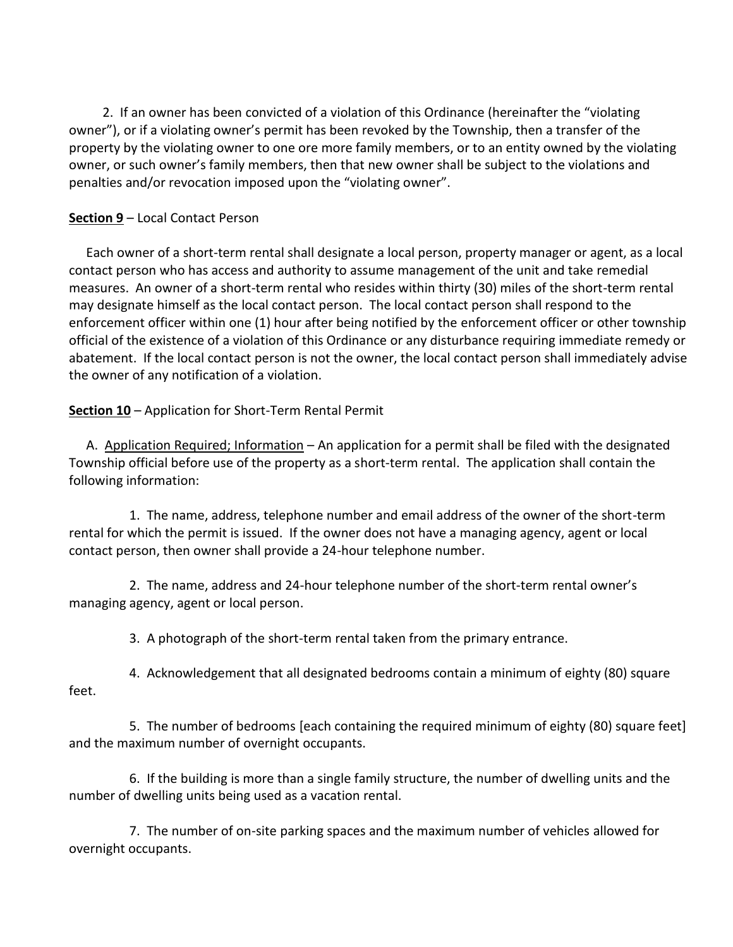2. If an owner has been convicted of a violation of this Ordinance (hereinafter the "violating owner"), or if a violating owner's permit has been revoked by the Township, then a transfer of the property by the violating owner to one ore more family members, or to an entity owned by the violating owner, or such owner's family members, then that new owner shall be subject to the violations and penalties and/or revocation imposed upon the "violating owner".

### **Section 9** – Local Contact Person

Each owner of a short-term rental shall designate a local person, property manager or agent, as a local contact person who has access and authority to assume management of the unit and take remedial measures. An owner of a short-term rental who resides within thirty (30) miles of the short-term rental may designate himself as the local contact person. The local contact person shall respond to the enforcement officer within one (1) hour after being notified by the enforcement officer or other township official of the existence of a violation of this Ordinance or any disturbance requiring immediate remedy or abatement. If the local contact person is not the owner, the local contact person shall immediately advise the owner of any notification of a violation.

# **Section 10** – Application for Short-Term Rental Permit

A. Application Required; Information – An application for a permit shall be filed with the designated Township official before use of the property as a short-term rental. The application shall contain the following information:

1. The name, address, telephone number and email address of the owner of the short-term rental for which the permit is issued. If the owner does not have a managing agency, agent or local contact person, then owner shall provide a 24-hour telephone number.

2. The name, address and 24-hour telephone number of the short-term rental owner's managing agency, agent or local person.

3. A photograph of the short-term rental taken from the primary entrance.

4. Acknowledgement that all designated bedrooms contain a minimum of eighty (80) square feet.

5. The number of bedrooms [each containing the required minimum of eighty (80) square feet] and the maximum number of overnight occupants.

6. If the building is more than a single family structure, the number of dwelling units and the number of dwelling units being used as a vacation rental.

7. The number of on-site parking spaces and the maximum number of vehicles allowed for overnight occupants.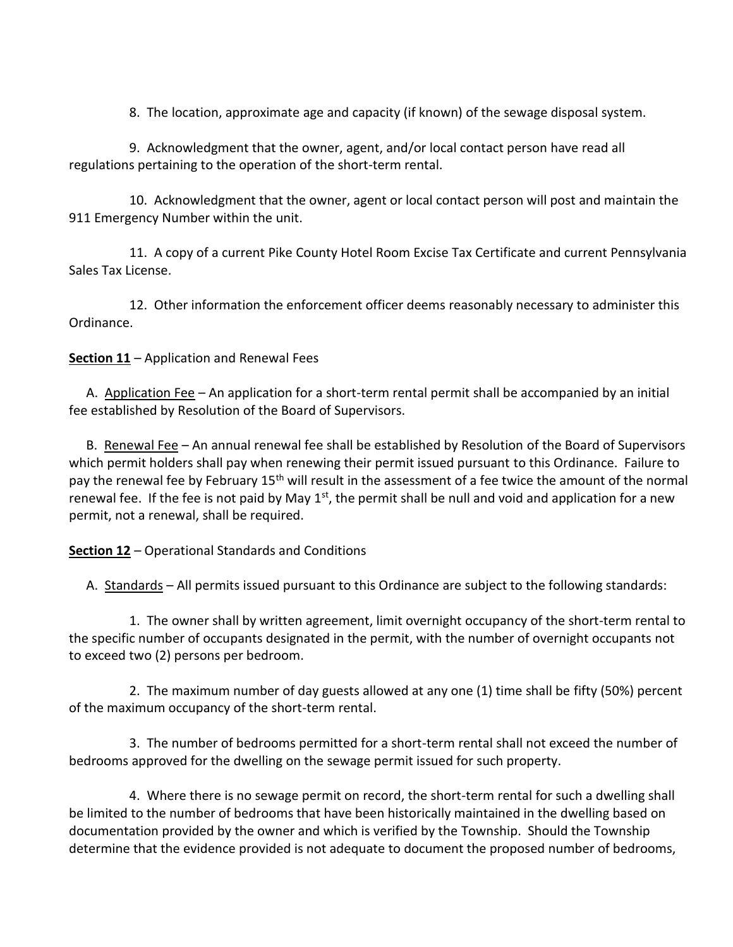8. The location, approximate age and capacity (if known) of the sewage disposal system.

9. Acknowledgment that the owner, agent, and/or local contact person have read all regulations pertaining to the operation of the short-term rental.

10. Acknowledgment that the owner, agent or local contact person will post and maintain the 911 Emergency Number within the unit.

11. A copy of a current Pike County Hotel Room Excise Tax Certificate and current Pennsylvania Sales Tax License.

12. Other information the enforcement officer deems reasonably necessary to administer this Ordinance.

**Section 11** – Application and Renewal Fees

A. Application Fee – An application for a short-term rental permit shall be accompanied by an initial fee established by Resolution of the Board of Supervisors.

B. Renewal Fee – An annual renewal fee shall be established by Resolution of the Board of Supervisors which permit holders shall pay when renewing their permit issued pursuant to this Ordinance. Failure to pay the renewal fee by February 15<sup>th</sup> will result in the assessment of a fee twice the amount of the normal renewal fee. If the fee is not paid by May  $1<sup>st</sup>$ , the permit shall be null and void and application for a new permit, not a renewal, shall be required.

#### **Section 12** – Operational Standards and Conditions

A. Standards – All permits issued pursuant to this Ordinance are subject to the following standards:

1. The owner shall by written agreement, limit overnight occupancy of the short-term rental to the specific number of occupants designated in the permit, with the number of overnight occupants not to exceed two (2) persons per bedroom.

2. The maximum number of day guests allowed at any one (1) time shall be fifty (50%) percent of the maximum occupancy of the short-term rental.

3. The number of bedrooms permitted for a short-term rental shall not exceed the number of bedrooms approved for the dwelling on the sewage permit issued for such property.

4. Where there is no sewage permit on record, the short-term rental for such a dwelling shall be limited to the number of bedrooms that have been historically maintained in the dwelling based on documentation provided by the owner and which is verified by the Township. Should the Township determine that the evidence provided is not adequate to document the proposed number of bedrooms,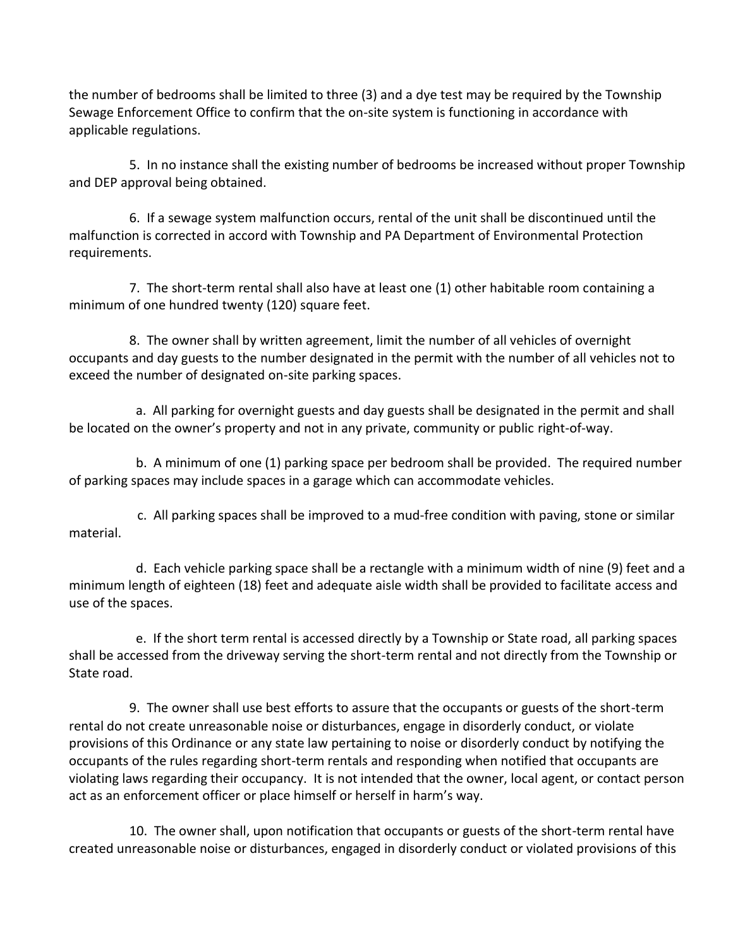the number of bedrooms shall be limited to three (3) and a dye test may be required by the Township Sewage Enforcement Office to confirm that the on-site system is functioning in accordance with applicable regulations.

5. In no instance shall the existing number of bedrooms be increased without proper Township and DEP approval being obtained.

6. If a sewage system malfunction occurs, rental of the unit shall be discontinued until the malfunction is corrected in accord with Township and PA Department of Environmental Protection requirements.

7. The short-term rental shall also have at least one (1) other habitable room containing a minimum of one hundred twenty (120) square feet.

8. The owner shall by written agreement, limit the number of all vehicles of overnight occupants and day guests to the number designated in the permit with the number of all vehicles not to exceed the number of designated on-site parking spaces.

 a. All parking for overnight guests and day guests shall be designated in the permit and shall be located on the owner's property and not in any private, community or public right-of-way.

 b. A minimum of one (1) parking space per bedroom shall be provided. The required number of parking spaces may include spaces in a garage which can accommodate vehicles.

 c. All parking spaces shall be improved to a mud-free condition with paving, stone or similar material.

 d. Each vehicle parking space shall be a rectangle with a minimum width of nine (9) feet and a minimum length of eighteen (18) feet and adequate aisle width shall be provided to facilitate access and use of the spaces.

 e. If the short term rental is accessed directly by a Township or State road, all parking spaces shall be accessed from the driveway serving the short-term rental and not directly from the Township or State road.

9. The owner shall use best efforts to assure that the occupants or guests of the short-term rental do not create unreasonable noise or disturbances, engage in disorderly conduct, or violate provisions of this Ordinance or any state law pertaining to noise or disorderly conduct by notifying the occupants of the rules regarding short-term rentals and responding when notified that occupants are violating laws regarding their occupancy. It is not intended that the owner, local agent, or contact person act as an enforcement officer or place himself or herself in harm's way.

10. The owner shall, upon notification that occupants or guests of the short-term rental have created unreasonable noise or disturbances, engaged in disorderly conduct or violated provisions of this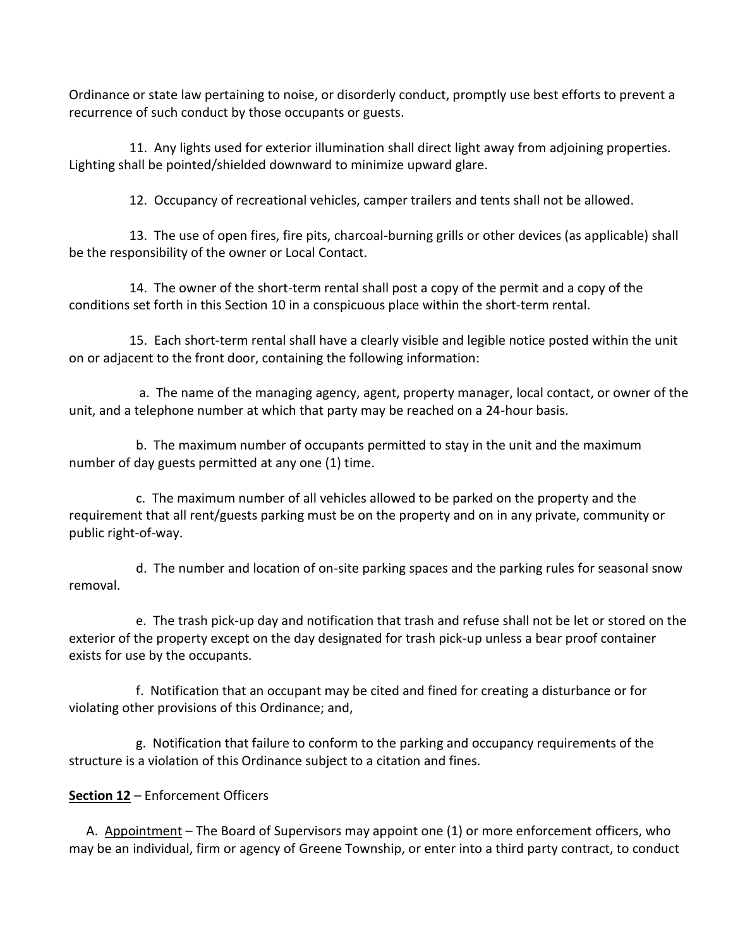Ordinance or state law pertaining to noise, or disorderly conduct, promptly use best efforts to prevent a recurrence of such conduct by those occupants or guests.

11. Any lights used for exterior illumination shall direct light away from adjoining properties. Lighting shall be pointed/shielded downward to minimize upward glare.

12. Occupancy of recreational vehicles, camper trailers and tents shall not be allowed.

13. The use of open fires, fire pits, charcoal-burning grills or other devices (as applicable) shall be the responsibility of the owner or Local Contact.

14. The owner of the short-term rental shall post a copy of the permit and a copy of the conditions set forth in this Section 10 in a conspicuous place within the short-term rental.

15. Each short-term rental shall have a clearly visible and legible notice posted within the unit on or adjacent to the front door, containing the following information:

 a. The name of the managing agency, agent, property manager, local contact, or owner of the unit, and a telephone number at which that party may be reached on a 24-hour basis.

 b. The maximum number of occupants permitted to stay in the unit and the maximum number of day guests permitted at any one (1) time.

 c. The maximum number of all vehicles allowed to be parked on the property and the requirement that all rent/guests parking must be on the property and on in any private, community or public right-of-way.

 d. The number and location of on-site parking spaces and the parking rules for seasonal snow removal.

 e. The trash pick-up day and notification that trash and refuse shall not be let or stored on the exterior of the property except on the day designated for trash pick-up unless a bear proof container exists for use by the occupants.

 f. Notification that an occupant may be cited and fined for creating a disturbance or for violating other provisions of this Ordinance; and,

 g. Notification that failure to conform to the parking and occupancy requirements of the structure is a violation of this Ordinance subject to a citation and fines.

# **Section 12** – Enforcement Officers

A. Appointment – The Board of Supervisors may appoint one (1) or more enforcement officers, who may be an individual, firm or agency of Greene Township, or enter into a third party contract, to conduct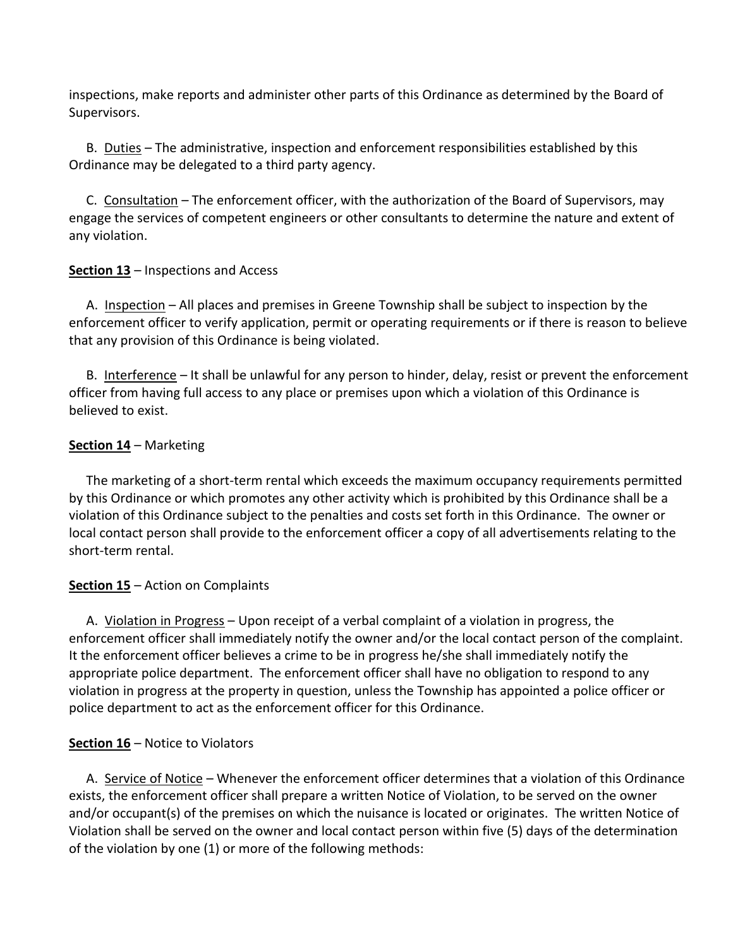inspections, make reports and administer other parts of this Ordinance as determined by the Board of Supervisors.

B. Duties – The administrative, inspection and enforcement responsibilities established by this Ordinance may be delegated to a third party agency.

C. Consultation – The enforcement officer, with the authorization of the Board of Supervisors, may engage the services of competent engineers or other consultants to determine the nature and extent of any violation.

### **Section 13** – Inspections and Access

A. Inspection – All places and premises in Greene Township shall be subject to inspection by the enforcement officer to verify application, permit or operating requirements or if there is reason to believe that any provision of this Ordinance is being violated.

B. Interference – It shall be unlawful for any person to hinder, delay, resist or prevent the enforcement officer from having full access to any place or premises upon which a violation of this Ordinance is believed to exist.

### **Section 14** – Marketing

The marketing of a short-term rental which exceeds the maximum occupancy requirements permitted by this Ordinance or which promotes any other activity which is prohibited by this Ordinance shall be a violation of this Ordinance subject to the penalties and costs set forth in this Ordinance. The owner or local contact person shall provide to the enforcement officer a copy of all advertisements relating to the short-term rental.

# **Section 15** – Action on Complaints

A. Violation in Progress – Upon receipt of a verbal complaint of a violation in progress, the enforcement officer shall immediately notify the owner and/or the local contact person of the complaint. It the enforcement officer believes a crime to be in progress he/she shall immediately notify the appropriate police department. The enforcement officer shall have no obligation to respond to any violation in progress at the property in question, unless the Township has appointed a police officer or police department to act as the enforcement officer for this Ordinance.

### **Section 16** – Notice to Violators

A. Service of Notice – Whenever the enforcement officer determines that a violation of this Ordinance exists, the enforcement officer shall prepare a written Notice of Violation, to be served on the owner and/or occupant(s) of the premises on which the nuisance is located or originates. The written Notice of Violation shall be served on the owner and local contact person within five (5) days of the determination of the violation by one (1) or more of the following methods: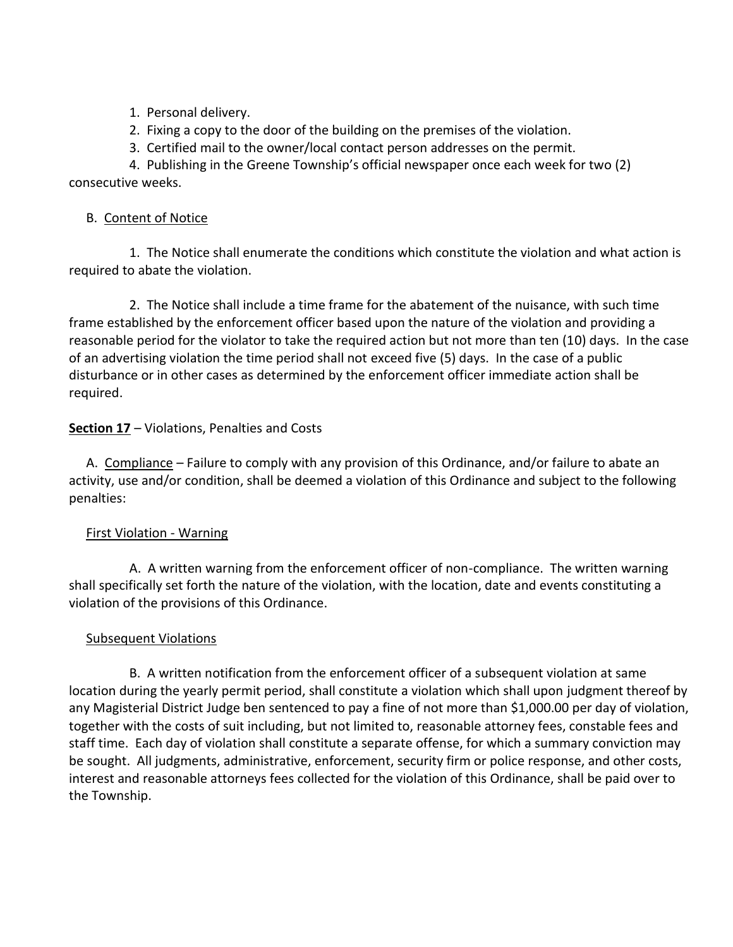- 1. Personal delivery.
- 2. Fixing a copy to the door of the building on the premises of the violation.
- 3. Certified mail to the owner/local contact person addresses on the permit.

4. Publishing in the Greene Township's official newspaper once each week for two (2) consecutive weeks.

### B. Content of Notice

1. The Notice shall enumerate the conditions which constitute the violation and what action is required to abate the violation.

2. The Notice shall include a time frame for the abatement of the nuisance, with such time frame established by the enforcement officer based upon the nature of the violation and providing a reasonable period for the violator to take the required action but not more than ten (10) days. In the case of an advertising violation the time period shall not exceed five (5) days. In the case of a public disturbance or in other cases as determined by the enforcement officer immediate action shall be required.

# **Section 17** – Violations, Penalties and Costs

A. Compliance – Failure to comply with any provision of this Ordinance, and/or failure to abate an activity, use and/or condition, shall be deemed a violation of this Ordinance and subject to the following penalties:

# First Violation - Warning

A. A written warning from the enforcement officer of non-compliance. The written warning shall specifically set forth the nature of the violation, with the location, date and events constituting a violation of the provisions of this Ordinance.

# Subsequent Violations

B. A written notification from the enforcement officer of a subsequent violation at same location during the yearly permit period, shall constitute a violation which shall upon judgment thereof by any Magisterial District Judge ben sentenced to pay a fine of not more than \$1,000.00 per day of violation, together with the costs of suit including, but not limited to, reasonable attorney fees, constable fees and staff time. Each day of violation shall constitute a separate offense, for which a summary conviction may be sought. All judgments, administrative, enforcement, security firm or police response, and other costs, interest and reasonable attorneys fees collected for the violation of this Ordinance, shall be paid over to the Township.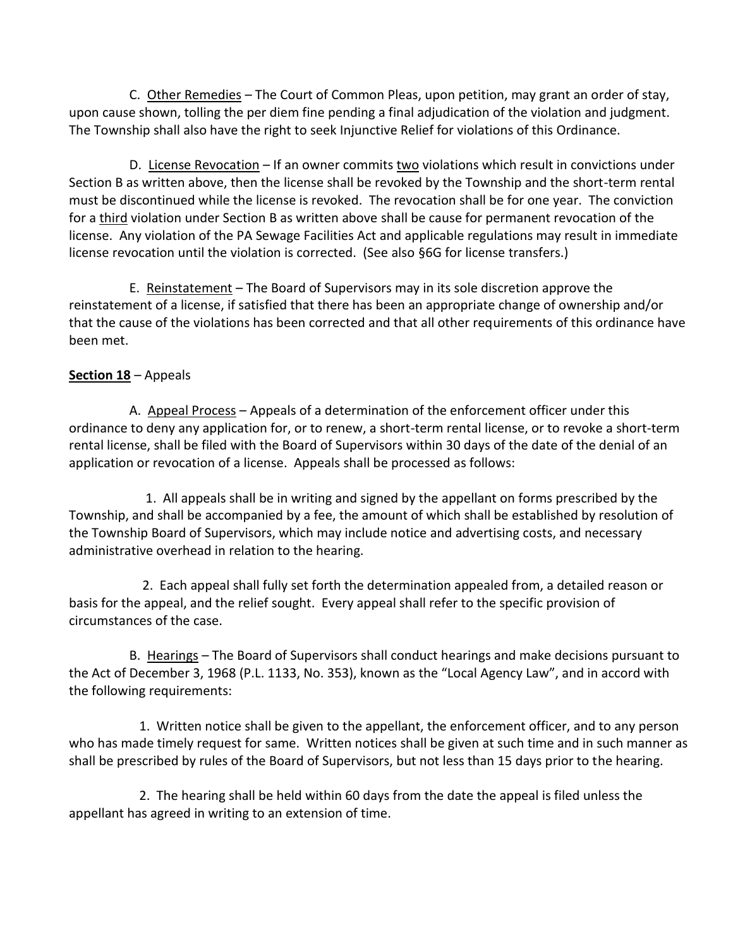C. Other Remedies – The Court of Common Pleas, upon petition, may grant an order of stay, upon cause shown, tolling the per diem fine pending a final adjudication of the violation and judgment. The Township shall also have the right to seek Injunctive Relief for violations of this Ordinance.

D. License Revocation – If an owner commits two violations which result in convictions under Section B as written above, then the license shall be revoked by the Township and the short-term rental must be discontinued while the license is revoked. The revocation shall be for one year. The conviction for a third violation under Section B as written above shall be cause for permanent revocation of the license. Any violation of the PA Sewage Facilities Act and applicable regulations may result in immediate license revocation until the violation is corrected. (See also §6G for license transfers.)

E. Reinstatement – The Board of Supervisors may in its sole discretion approve the reinstatement of a license, if satisfied that there has been an appropriate change of ownership and/or that the cause of the violations has been corrected and that all other requirements of this ordinance have been met.

### **Section 18** – Appeals

A. Appeal Process – Appeals of a determination of the enforcement officer under this ordinance to deny any application for, or to renew, a short-term rental license, or to revoke a short-term rental license, shall be filed with the Board of Supervisors within 30 days of the date of the denial of an application or revocation of a license. Appeals shall be processed as follows:

 1. All appeals shall be in writing and signed by the appellant on forms prescribed by the Township, and shall be accompanied by a fee, the amount of which shall be established by resolution of the Township Board of Supervisors, which may include notice and advertising costs, and necessary administrative overhead in relation to the hearing.

 2. Each appeal shall fully set forth the determination appealed from, a detailed reason or basis for the appeal, and the relief sought. Every appeal shall refer to the specific provision of circumstances of the case.

B. Hearings – The Board of Supervisors shall conduct hearings and make decisions pursuant to the Act of December 3, 1968 (P.L. 1133, No. 353), known as the "Local Agency Law", and in accord with the following requirements:

 1. Written notice shall be given to the appellant, the enforcement officer, and to any person who has made timely request for same. Written notices shall be given at such time and in such manner as shall be prescribed by rules of the Board of Supervisors, but not less than 15 days prior to the hearing.

 2. The hearing shall be held within 60 days from the date the appeal is filed unless the appellant has agreed in writing to an extension of time.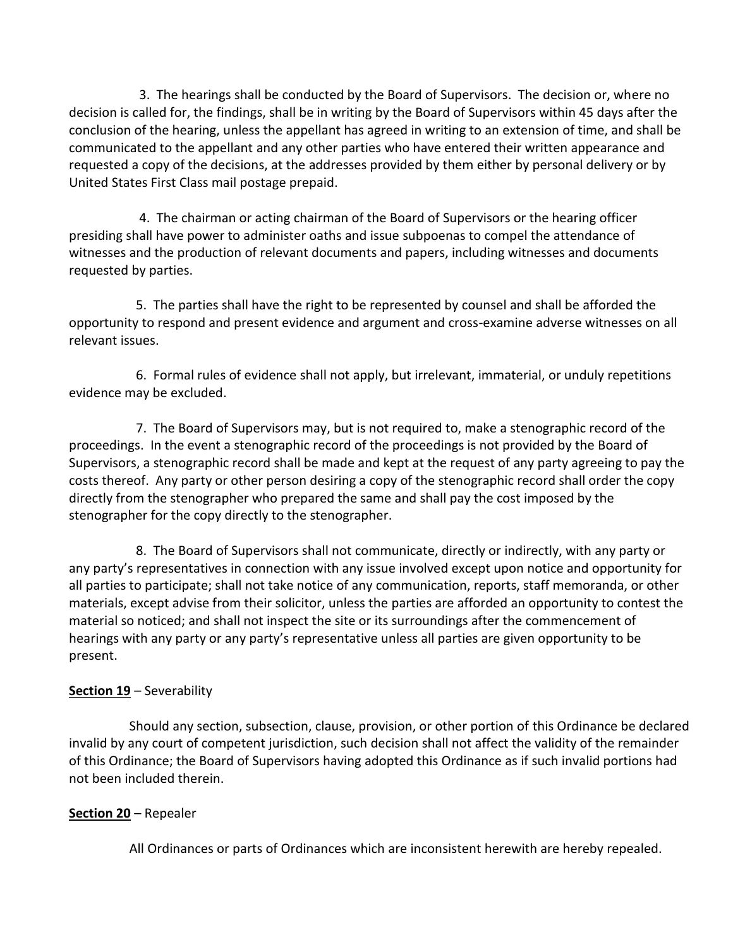3. The hearings shall be conducted by the Board of Supervisors. The decision or, where no decision is called for, the findings, shall be in writing by the Board of Supervisors within 45 days after the conclusion of the hearing, unless the appellant has agreed in writing to an extension of time, and shall be communicated to the appellant and any other parties who have entered their written appearance and requested a copy of the decisions, at the addresses provided by them either by personal delivery or by United States First Class mail postage prepaid.

 4. The chairman or acting chairman of the Board of Supervisors or the hearing officer presiding shall have power to administer oaths and issue subpoenas to compel the attendance of witnesses and the production of relevant documents and papers, including witnesses and documents requested by parties.

 5. The parties shall have the right to be represented by counsel and shall be afforded the opportunity to respond and present evidence and argument and cross-examine adverse witnesses on all relevant issues.

 6. Formal rules of evidence shall not apply, but irrelevant, immaterial, or unduly repetitions evidence may be excluded.

 7. The Board of Supervisors may, but is not required to, make a stenographic record of the proceedings. In the event a stenographic record of the proceedings is not provided by the Board of Supervisors, a stenographic record shall be made and kept at the request of any party agreeing to pay the costs thereof. Any party or other person desiring a copy of the stenographic record shall order the copy directly from the stenographer who prepared the same and shall pay the cost imposed by the stenographer for the copy directly to the stenographer.

 8. The Board of Supervisors shall not communicate, directly or indirectly, with any party or any party's representatives in connection with any issue involved except upon notice and opportunity for all parties to participate; shall not take notice of any communication, reports, staff memoranda, or other materials, except advise from their solicitor, unless the parties are afforded an opportunity to contest the material so noticed; and shall not inspect the site or its surroundings after the commencement of hearings with any party or any party's representative unless all parties are given opportunity to be present.

# **Section 19** – Severability

Should any section, subsection, clause, provision, or other portion of this Ordinance be declared invalid by any court of competent jurisdiction, such decision shall not affect the validity of the remainder of this Ordinance; the Board of Supervisors having adopted this Ordinance as if such invalid portions had not been included therein.

### **Section 20** – Repealer

All Ordinances or parts of Ordinances which are inconsistent herewith are hereby repealed.